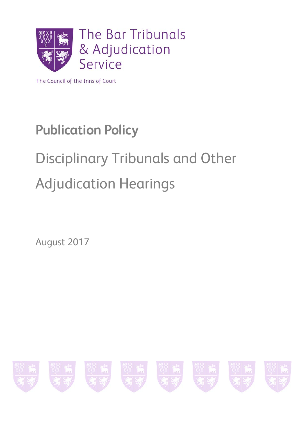

The Council of the Inns of Court

## **Publication Policy**

# Disciplinary Tribunals and Other Adjudication Hearings

August 2017

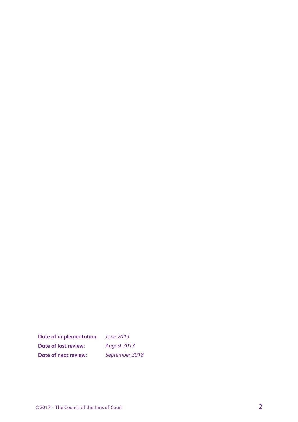**Date of implementation:** *June 2013* **Date of last review:** *August 2017* **Date of next review:** *September 2018*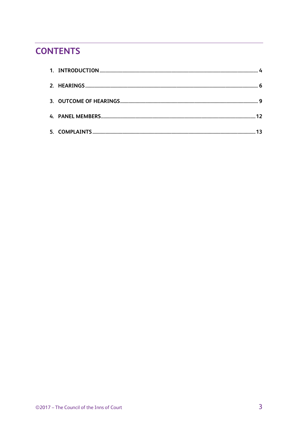## **CONTENTS**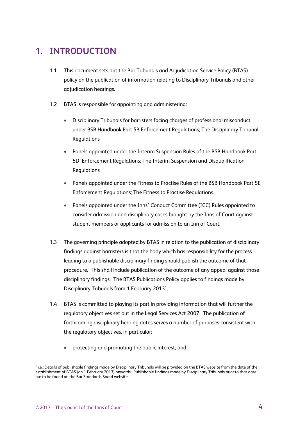## <span id="page-3-0"></span>**1. INTRODUCTION**

- 1.1 This document sets out the Bar Tribunals and Adjudication Service Policy (BTAS) policy on the publication of information relating to Disciplinary Tribunals and other adjudication hearings.
- 1.2 BTAS is responsible for appointing and administering:
	- Disciplinary Tribunals for barristers facing charges of professional misconduct under BSB Handbook Part 5B Enforcement Regulations; The Disciplinary Tribunal Regulations
	- Panels appointed under the Interim Suspension Rules of the BSB Handbook Part 5D Enforcement Regulations; The Interim Suspension and Disqualification Regulations
	- Panels appointed under the Fitness to Practise Rules of the BSB Handbook Part 5E Enforcement Regulations; The Fitness to Practise Regulations.
	- Panels appointed under the Inns' Conduct Committee (ICC) Rules appointed to consider admission and disciplinary cases brought by the Inns of Court against student members or applicants for admission to an Inn of Court.
- 1.3 The governing principle adopted by BTAS in relation to the publication of disciplinary findings against barristers is that the body which has responsibility for the process leading to a publishable disciplinary finding should publish the outcome of that procedure. This shall include publication of the outcome of any appeal against those disciplinary findings. The BTAS Publications Policy applies to findings made by Disciplinary Tribunals from [1](#page-3-1) February 2013<sup>1</sup>.
- 1.4 BTAS is committed to playing its part in providing information that will further the regulatory objectives set out in the Legal Services Act 2007. The publication of forthcoming disciplinary hearing dates serves a number of purposes consistent with the regulatory objectives, in particular:
	- protecting and promoting the public interest; and

<span id="page-3-1"></span> $1$  i.e.: Details of publishable findings made by Disciplinary Tribunals will be provided on the BTAS website from the date of the establishment of BTAS (on 1 February 2013) onwards. Publishable findings made by Disciplinary Tribunals prior to that date are to be found on the Bar Standards Board website.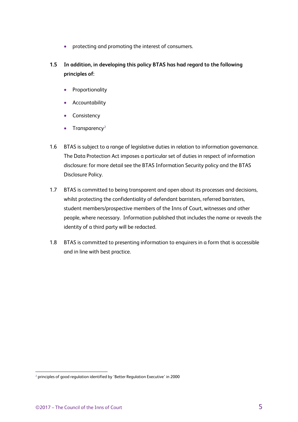- protecting and promoting the interest of consumers.
- **1.5 In addition, in developing this policy BTAS has had regard to the following principles of:**
	- Proportionality
	- Accountability
	- Consistency
	- Transparency<sup>[2](#page-4-0)</sup>
- 1.6 BTAS is subject to a range of legislative duties in relation to information governance. The Data Protection Act imposes a particular set of duties in respect of information disclosure: for more detail see the BTAS Information Security policy and the BTAS Disclosure Policy.
- 1.7 BTAS is committed to being transparent and open about its processes and decisions, whilst protecting the confidentiality of defendant barristers, referred barristers, student members/prospective members of the Inns of Court, witnesses and other people, where necessary. Information published that includes the name or reveals the identity of a third party will be redacted.
- 1.8 BTAS is committed to presenting information to enquirers in a form that is accessible and in line with best practice.

<span id="page-4-0"></span> <sup>2</sup> principles of good regulation identified by 'Better Regulation Executive' in 2000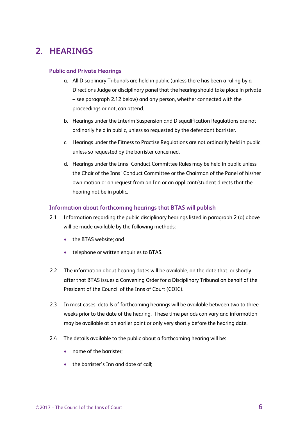## <span id="page-5-0"></span>**2. HEARINGS**

#### **Public and Private Hearings**

- a. All Disciplinary Tribunals are held in public (unless there has been a ruling by a Directions Judge or disciplinary panel that the hearing should take place in private – see paragraph 2.12 below) and any person, whether connected with the proceedings or not, can attend.
- b. Hearings under the Interim Suspension and Disqualification Regulations are not ordinarily held in public, unless so requested by the defendant barrister.
- c. Hearings under the Fitness to Practise Regulations are not ordinarily held in public, unless so requested by the barrister concerned.
- d. Hearings under the Inns' Conduct Committee Rules may be held in public unless the Chair of the Inns' Conduct Committee or the Chairman of the Panel of his/her own motion or on request from an Inn or an applicant/student directs that the hearing not be in public.

#### **Information about forthcoming hearings that BTAS will publish**

- 2.1 Information regarding the public disciplinary hearings listed in paragraph 2 (a) above will be made available by the following methods:
	- the BTAS website: and
	- telephone or written enquiries to BTAS.
- 2.2 The information about hearing dates will be available, on the date that, or shortly after that BTAS issues a Convening Order for a Disciplinary Tribunal on behalf of the President of the Council of the Inns of Court (COIC).
- 2.3 In most cases, details of forthcoming hearings will be available between two to three weeks prior to the date of the hearing. These time periods can vary and information may be available at an earlier point or only very shortly before the hearing date.
- 2.4 The details available to the public about a forthcoming hearing will be:
	- name of the barrister;
	- the barrister's Inn and date of call;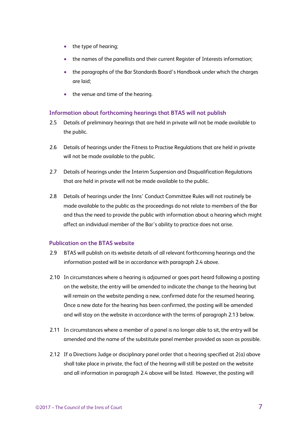- the type of hearing;
- the names of the panellists and their current Register of Interests information;
- the paragraphs of the Bar Standards Board's Handbook under which the charges are laid;
- the venue and time of the hearing.

#### **Information about forthcoming hearings that BTAS will not publish**

- 2.5 Details of preliminary hearings that are held in private will not be made available to the public.
- 2.6 Details of hearings under the Fitness to Practise Regulations that are held in private will not be made available to the public.
- 2.7 Details of hearings under the Interim Suspension and Disqualification Regulations that are held in private will not be made available to the public.
- 2.8 Details of hearings under the Inns' Conduct Committee Rules will not routinely be made available to the public as the proceedings do not relate to members of the Bar and thus the need to provide the public with information about a hearing which might affect an individual member of the Bar's ability to practice does not arise.

#### **Publication on the BTAS website**

- 2.9 BTAS will publish on its website details of all relevant forthcoming hearings and the information posted will be in accordance with paragraph 2.4 above.
- 2.10 In circumstances where a hearing is adjourned or goes part heard following a posting on the website, the entry will be amended to indicate the change to the hearing but will remain on the website pending a new, confirmed date for the resumed hearing. Once a new date for the hearing has been confirmed, the posting will be amended and will stay on the website in accordance with the terms of paragraph 2.13 below.
- 2.11 In circumstances where a member of a panel is no longer able to sit, the entry will be amended and the name of the substitute panel member provided as soon as possible.
- 2.12 If a Directions Judge or disciplinary panel order that a hearing specified at 2(a) above shall take place in private, the fact of the hearing will still be posted on the website and all information in paragraph 2.4 above will be listed. However, the posting will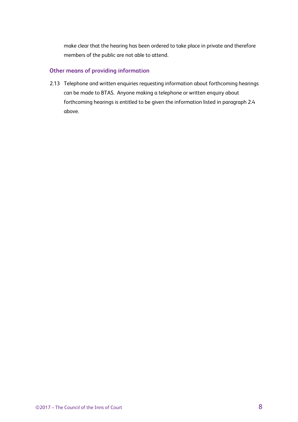make clear that the hearing has been ordered to take place in private and therefore members of the public are not able to attend.

#### **Other means of providing information**

2.13 Telephone and written enquiries requesting information about forthcoming hearings can be made to BTAS. Anyone making a telephone or written enquiry about forthcoming hearings is entitled to be given the information listed in paragraph 2.4 above.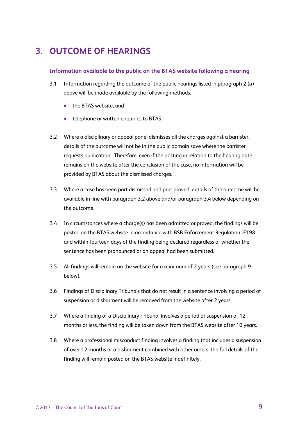## <span id="page-8-0"></span>**3. OUTCOME OF HEARINGS**

#### **Information available to the public on the BTAS website following a hearing**

- 3.1 Information regarding the outcome of the public hearings listed in paragraph 2 (a) above will be made available by the following methods:
	- the BTAS website; and
	- telephone or written enquiries to BTAS.
- 3.2 Where a disciplinary or appeal panel dismisses all the charges against a barrister, details of the outcome will not be in the public domain save where the barrister requests publication. Therefore, even if the posting in relation to the hearing date remains on the website after the conclusion of the case, no information will be provided by BTAS about the dismissed charges.
- 3.3 Where a case has been part dismissed and part proved, details of the outcome will be available in line with paragraph 3.2 above and/or paragraph 3.4 below depending on the outcome.
- 3.4 In circumstances where a charge(s) has been admitted or proved, the findings will be posted on the BTAS website in accordance with BSB Enforcement Regulation rE198 and within fourteen days of the finding being declared regardless of whether the sentence has been pronounced or an appeal had been submitted.
- 3.5 All findings will remain on the website for a minimum of 2 years (see paragraph 9 below).
- 3.6 Findings of Disciplinary Tribunals that do not result in a sentence involving a period of suspension or disbarment will be removed from the website after 2 years.
- 3.7 Where a finding of a Disciplinary Tribunal involves a period of suspension of 12 months or less, the finding will be taken down from the BTAS website after 10 years.
- 3.8 Where a professional misconduct finding involves a finding that includes a suspension of over 12 months or a disbarment combined with other orders, the full details of the finding will remain posted on the BTAS website indefinitely.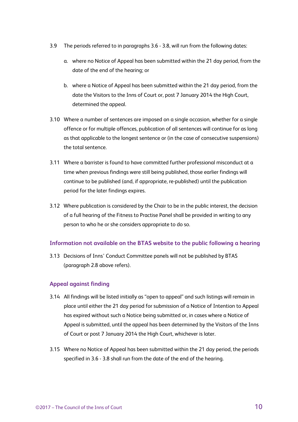- 3.9 The periods referred to in paragraphs 3.6 3.8, will run from the following dates:
	- a. where no Notice of Appeal has been submitted within the 21 day period, from the date of the end of the hearing; or
	- b. where a Notice of Appeal has been submitted within the 21 day period, from the date the Visitors to the Inns of Court or, post 7 January 2014 the High Court, determined the appeal.
- 3.10 Where a number of sentences are imposed on a single occasion, whether for a single offence or for multiple offences, publication of all sentences will continue for as long as that applicable to the longest sentence or (in the case of consecutive suspensions) the total sentence.
- 3.11 Where a barrister is found to have committed further professional misconduct at a time when previous findings were still being published, those earlier findings will continue to be published (and, if appropriate, re-published) until the publication period for the later findings expires.
- 3.12 Where publication is considered by the Chair to be in the public interest, the decision of a full hearing of the Fitness to Practise Panel shall be provided in writing to any person to who he or she considers appropriate to do so.

#### **Information not available on the BTAS website to the public following a hearing**

3.13 Decisions of Inns' Conduct Committee panels will not be published by BTAS (paragraph 2.8 above refers).

#### **Appeal against finding**

- 3.14 All findings will be listed initially as "open to appeal" and such listings will remain in place until either the 21 day period for submission of a Notice of Intention to Appeal has expired without such a Notice being submitted or, in cases where a Notice of Appeal is submitted, until the appeal has been determined by the Visitors of the Inns of Court or post 7 January 2014 the High Court, whichever is later.
- 3.15 Where no Notice of Appeal has been submitted within the 21 day period, the periods specified in 3.6 - 3.8 shall run from the date of the end of the hearing.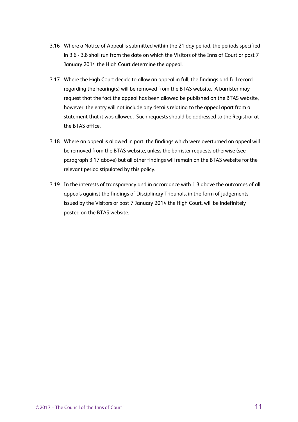- 3.16 Where a Notice of Appeal is submitted within the 21 day period, the periods specified in 3.6 - 3.8 shall run from the date on which the Visitors of the Inns of Court or post 7 January 2014 the High Court determine the appeal.
- 3.17 Where the High Court decide to allow an appeal in full, the findings and full record regarding the hearing(s) will be removed from the BTAS website. A barrister may request that the fact the appeal has been allowed be published on the BTAS website, however, the entry will not include any details relating to the appeal apart from a statement that it was allowed. Such requests should be addressed to the Registrar at the BTAS office.
- 3.18 Where an appeal is allowed in part, the findings which were overturned on appeal will be removed from the BTAS website, unless the barrister requests otherwise (see paragraph 3.17 above) but all other findings will remain on the BTAS website for the relevant period stipulated by this policy.
- 3.19 In the interests of transparency and in accordance with 1.3 above the outcomes of all appeals against the findings of Disciplinary Tribunals, in the form of judgements issued by the Visitors or post 7 January 2014 the High Court, will be indefinitely posted on the BTAS website.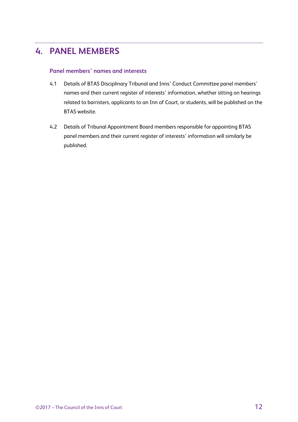## <span id="page-11-0"></span>**4. PANEL MEMBERS**

#### **Panel members' names and interests**

- 4.1 Details of BTAS Disciplinary Tribunal and Inns' Conduct Committee panel members' names and their current register of interests' information, whether sitting on hearings related to barristers, applicants to an Inn of Court, or students, will be published on the BTAS website.
- 4.2 Details of Tribunal Appointment Board members responsible for appointing BTAS panel members and their current register of interests' information will similarly be published.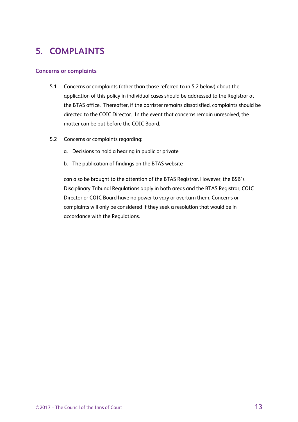## <span id="page-12-0"></span>**5. COMPLAINTS**

#### **Concerns or complaints**

- 5.1 Concerns or complaints (other than those referred to in 5.2 below) about the application of this policy in individual cases should be addressed to the Registrar at the BTAS office. Thereafter, if the barrister remains dissatisfied, complaints should be directed to the COIC Director. In the event that concerns remain unresolved, the matter can be put before the COIC Board.
- 5.2 Concerns or complaints regarding:
	- a. Decisions to hold a hearing in public or private
	- b. The publication of findings on the BTAS website

can also be brought to the attention of the BTAS Registrar. However, the BSB's Disciplinary Tribunal Regulations apply in both areas and the BTAS Registrar, COIC Director or COIC Board have no power to vary or overturn them. Concerns or complaints will only be considered if they seek a resolution that would be in accordance with the Regulations.